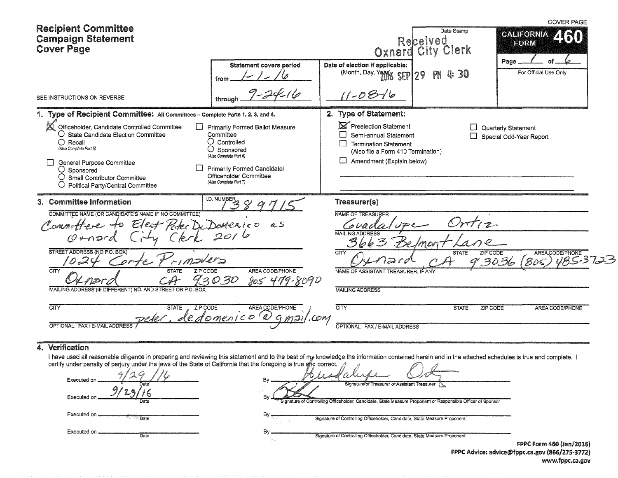| <b>Recipient Committee</b><br><b>Campaign Statement</b><br><b>Cover Page</b>                                                                                                                                                                                                                                                                                                   |                                                                                                                                                                                                         |                                                                                                                                                                                       | Date Stamp<br>Received<br>Oxnard City Clerk                        | <b>COVER PAGE</b><br><b>CALIFORNIA</b><br>FORM                      |
|--------------------------------------------------------------------------------------------------------------------------------------------------------------------------------------------------------------------------------------------------------------------------------------------------------------------------------------------------------------------------------|---------------------------------------------------------------------------------------------------------------------------------------------------------------------------------------------------------|---------------------------------------------------------------------------------------------------------------------------------------------------------------------------------------|--------------------------------------------------------------------|---------------------------------------------------------------------|
| SEE INSTRUCTIONS ON REVERSE                                                                                                                                                                                                                                                                                                                                                    | <b>Statement covers period</b><br>from<br>through                                                                                                                                                       | Date of election if applicable:<br>(Month, Day, Yonk SEP 29<br>$(1 - 08 - 16)$                                                                                                        | PN<br>Q.<br>30                                                     | Page<br>For Official Use Only                                       |
| 1. Type of Recipient Committee: All Committees - Complete Parts 1, 2, 3, and 4.<br>a<br>Officeholder, Candidate Controlled Committee<br>$\bigcirc$ State Candidate Election Committee<br>O<br>Recall<br>(Also Complete Part 5)<br>General Purpose Committee<br>$\bigcirc$ Sponsored<br>$\bigcirc$ Small Contributor Committee<br>O Political Party/Central Committee           | Primarily Formed Ballot Measure<br>Committee<br>$\cup$ Controlled<br>O<br>Sponsored<br>(Also Complete Part 6)<br><b>Primarily Formed Candidate/</b><br>Officeholder Committee<br>(Also Complete Part 7) | 2. Type of Statement:<br>Preelection Statement<br>Semi-annual Statement<br>$\Box$<br><b>Termination Statement</b><br>(Also file a Form 410 Termination)<br>Amendment (Explain below)  |                                                                    | Quarterly Statement<br>Special Odd-Year Report                      |
| 3. Committee Information<br>COMMITTEE NAME (OR CANDIDATE'S NAME IF NO COMMITTEE)<br>Peter<br>$E$ lect<br>Committee to<br>$\mathcal{O}$ mard<br>STREET ADDRESS (NO P.O. BOX)<br>orte<br>CITY<br><b>STATE</b><br>ZIP CODE<br>MAILING ADDRESS (IF DIFFERENT) NO. AND STREET OR P.O. BOX<br>$\overline{\text{CITY}}$<br>ZIP CODE<br><b>STATE</b><br>OPTIONAL: FAX / E-MAIL ADDRESS | I.D. NUMBER<br>Domenico as<br>2016<br>AREA CODE/PHONE<br>93030<br>805 479-8090<br>AREA CODE/PHONE<br>dedomenico<br>.COM                                                                                 | Treasurer(s)<br>NAME OF TREASURER<br>3663<br>הפ<br>CITY<br>NAME OF ASSISTANT TREASURER. IF ANY<br><b>MAILING ADDRESS</b><br>$\overline{\text{CIV}}$<br>OPTIONAL: FAX / E-MAIL ADDRESS | moi<br>ZIP CODE<br><b>STATE</b><br><b>STATE</b><br><b>ZIP CODE</b> | AREACODE/PHONE<br>05) 485-3723<br>(Bos)<br>30.36<br>AREA CODE/PHONE |

### 4. Verification

I have used all reasonable diligence in preparing and reviewing this statement and to the best of my knowledge the information contained herein and in the attached schedules is true and complete. I certify under penalty o

| Em.<br>Executed on<br>Date | Bv<br>Signature of Treasurer or Assistant Treasurer                                                                           |                     |
|----------------------------|-------------------------------------------------------------------------------------------------------------------------------|---------------------|
| Executed on<br>Date        | Section.<br>Bv<br>Signature of Controlling Officeholder, Candidate, State Measure Proponent or Responsible Officer of Sponsor |                     |
| Executed on.<br>Date       | Bv<br>Signature of Controlling Officeholder, Candidate, State Measure Proponent                                               |                     |
| Executed on<br>Date        | Bv<br>Signature of Controlling Officeholder, Candidate, State Measure Proponent                                               |                     |
|                            |                                                                                                                               | FPPC Form 460 (Jan/ |

 $(2016)$ FPPC Advice: advice@fppc.ca.gov (866/275-3772) www.fppc.ca.gov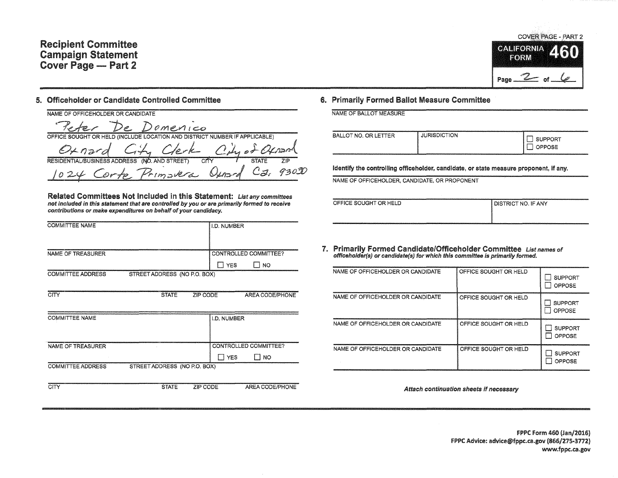## Recipient Committee Campaign Statement Cover Page - Part 2

#### 5. Officeholder or Candidate Controlled Committee

| NAME OF OFFICEHOLDER OR CANDIDATE                                          |  |                                      |      |       |     |
|----------------------------------------------------------------------------|--|--------------------------------------|------|-------|-----|
|                                                                            |  | Peter De Domenico                    |      |       |     |
| OFFICE SOUGHT OR HELD (INCLUDE LOCATION AND DISTRICT NUMBER IF APPLICABLE) |  |                                      |      |       |     |
|                                                                            |  | Oxnard City Clerk City of Oxnand     |      |       |     |
| RESIDENTIAL/BUSINESS ADDRESS (NO. AND STREET)                              |  |                                      | CITY | STATE | 71P |
|                                                                            |  | 1024 Corte Primavera Osmard Ca. 9300 |      |       |     |

Related Committees Not Included in this Statement: List any committees not included in this statement that are controlled by you or are primarily formed to receive contributions or make expenditures on behalf of your candidacy.

| <b>COMMITTEE NAME</b>    |                              |          | I.D. NUMBER    |                       |
|--------------------------|------------------------------|----------|----------------|-----------------------|
|                          |                              |          |                |                       |
| <b>NAME OF TREASURER</b> |                              |          |                | CONTROLLED COMMITTEE? |
|                          |                              |          | $\Box$ YES     | Π NO                  |
| <b>COMMITTEE ADDRESS</b> | STREET ADDRESS (NO P.O. BOX) |          |                |                       |
|                          |                              |          |                |                       |
| <b>CITY</b>              | <b>STATE</b>                 | ZIP CODE |                | AREA CODE/PHONE       |
|                          |                              |          |                |                       |
| <b>COMMITTEE NAME</b>    |                              |          | I.D. NUMBER    |                       |
|                          |                              |          |                |                       |
|                          |                              |          |                |                       |
| <b>NAME OF TREASURER</b> |                              |          |                | CONTROLLED COMMITTEE? |
|                          |                              |          | <b>ITT</b> YES | I I NO                |
| <b>COMMITTEE ADDRESS</b> | STREET ADDRESS (NO P.O. BOX) |          |                |                       |
|                          |                              |          |                |                       |
| <b>CITY</b>              | <b>STATE</b>                 | ZIP CODE |                | AREA CODE/PHONE       |

# **COVER PAGE - PART 2 CALIFORNIA** FORM Page  $2$  of  $6$

#### 6. Primarily Formed Ballot Measure Committee

|  | man a chann ann an Chann an Chann an Chann an Chann an Chann an Chann an Chann an Chann an Chann an Chann an Ch |
|--|-----------------------------------------------------------------------------------------------------------------|
|  | NAME OF BALLOT MEASURE                                                                                          |
|  |                                                                                                                 |

| <b>JURISDICTION</b><br>BALLOT NO. OR LETTER | <b>JPPORT</b><br>OPPOSE |
|---------------------------------------------|-------------------------|
|---------------------------------------------|-------------------------|

Identify the controlling officeholder, candidate, or state measure proponent, if any.

NAME OF OFFICEHOLDER, CANDIDATE, OR PROPONENT

| OFFICE SOUGHT OR HELD | Í DISTRICT NO. IF ANY |
|-----------------------|-----------------------|
|                       |                       |
|                       |                       |

7. Primarily Formed Candidate/Officeholder Committee List names of offlceholder(s) or candidate(s) for which this committee is primarily formed.

| NAME OF OFFICEHOLDER OR CANDIDATE | OFFICE SOUGHT OR HELD | <b>SUPPORT</b><br>OPPOSE        |
|-----------------------------------|-----------------------|---------------------------------|
| NAME OF OFFICEHOLDER OR CANDIDATE | OFFICE SOUGHT OR HELD | <b>SUPPORT</b><br><b>OPPOSE</b> |
| NAME OF OFFICEHOLDER OR CANDIDATE | OFFICE SOUGHT OR HELD | <b>SUPPORT</b><br>OPPOSE        |
| NAME OF OFFICEHOLDER OR CANDIDATE | OFFICE SOUGHT OR HELD | <b>SUPPORT</b><br>OPPOSE        |

Attach continuation sheets if necessary

FPPC Form 460 (Jan/2016) FPPC Advice: advice@fppc.ca.gov (866/275-3772) www.fppc.ca.gov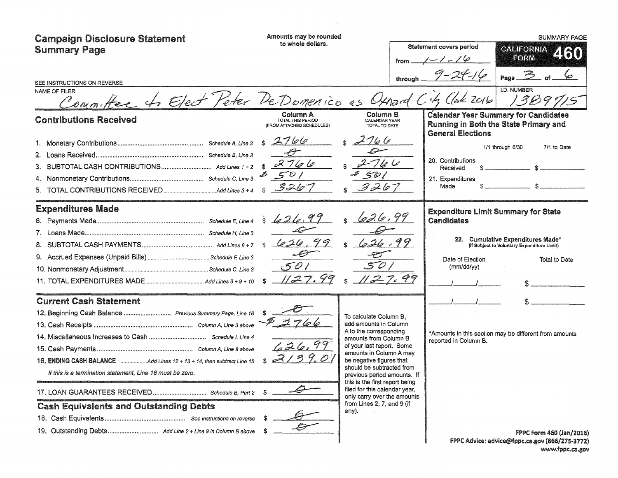| <b>Campaign Disclosure Statement</b><br><b>Summary Page</b><br>SEE INSTRUCTIONS ON REVERSE<br>NAME OF FILER<br>Committee to Elect Peter De Domenico as Othard                                                                                                                      | Amounts may be rounded<br>to whole dollars.                                                    | from<br>through                                                                                                                                                                                                                                                                                                                                                                             | <b>Statement covers period</b><br>$1 - 1 - 19$<br>$9 - 24 - 16$<br>$CAC$ ek 2016      | <b>SUMMARY PAGE</b><br><b>CALIFORNIA</b><br>460<br>FORM<br>Page $\geq$<br><b>I.D. NUMBER</b><br>13897                                           |
|------------------------------------------------------------------------------------------------------------------------------------------------------------------------------------------------------------------------------------------------------------------------------------|------------------------------------------------------------------------------------------------|---------------------------------------------------------------------------------------------------------------------------------------------------------------------------------------------------------------------------------------------------------------------------------------------------------------------------------------------------------------------------------------------|---------------------------------------------------------------------------------------|-------------------------------------------------------------------------------------------------------------------------------------------------|
| <b>Contributions Received</b>                                                                                                                                                                                                                                                      | Column A<br>TOTAL THIS PERIOD<br>(FROM ATTACHED SCHEDULES)<br>2766<br>\$<br>2766<br>501<br>326 | Column B<br>CALENDAR YEAR<br>TOTAL TO DATE<br>$\mu$ $\varphi$<br>50 <sub>1</sub><br>326                                                                                                                                                                                                                                                                                                     | <b>General Elections</b><br>20. Contributions<br>Received<br>21. Expenditures<br>Made | <b>Calendar Year Summary for Candidates</b><br>Running in Both the State Primary and<br>7/1 to Date<br>1/1 through 6/30                         |
| <b>Expenditures Made</b>                                                                                                                                                                                                                                                           | s 1226.99<br>626.<br>Ô                                                                         | 426.99<br>50<br>27.99                                                                                                                                                                                                                                                                                                                                                                       | Candidates<br>Date of Election<br>(mm/dd/yy)                                          | <b>Expenditure Limit Summary for State</b><br>22. Cumulative Expenditures Made*<br>(If Subject to Voluntary Expenditure Limit)<br>Total to Date |
| <b>Current Cash Statement</b><br>12. Beginning Cash Balance  Previous Summary Page, Line 16<br>16. ENDING CASH BALANCE Add Lines 12 + 13 + 14, then subtract Line 15<br>If this is a termination statement, Line 16 must be zero.<br><b>Cash Equivalents and Outstanding Debts</b> | 626.99                                                                                         | To calculate Column B.<br>add amounts in Column<br>A to the corresponding<br>amounts from Column B<br>of your last report. Some<br>amounts in Column A may<br>be negative figures that<br>should be subtracted from<br>previous period amounts. If<br>this is the first report being<br>filed for this calendar year,<br>only carry over the amounts<br>from Lines 2, 7, and 9 (if<br>any). | reported in Column B.                                                                 | *Amounts in this section may be different from amounts<br><b>FPPC Form 460 (Jan/2016)</b><br>FPPC Advice: advice@fppc.ca.gov (866/275-3772)     |

 $\mathcal{L}^{\mathcal{L}}(\mathcal{L}^{\mathcal{L}})$  . The set of  $\mathcal{L}^{\mathcal{L}}(\mathcal{L}^{\mathcal{L}})$ 

www.fppc.ca.gov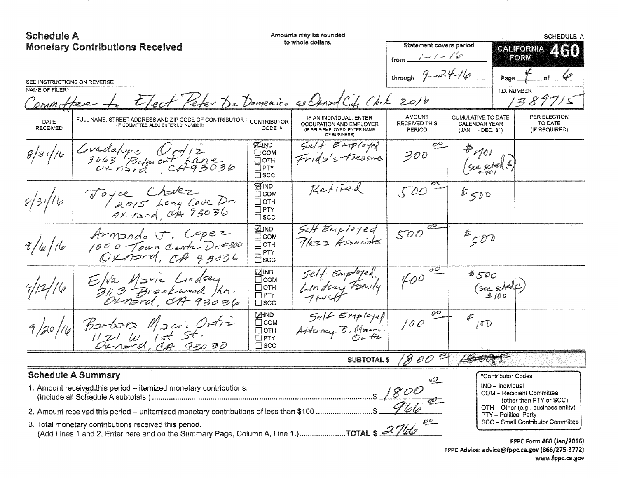| <b>Schedule A</b>                             | Amounts may be rounded<br>to whole dollars.<br><b>Monetary Contributions Received</b>           |                                                                           | <b>Statement covers period</b><br>$1 - 1 - 10$<br>from.                                             |                                                        | <b>SCHEDULE A</b><br><b>CALIFORNIA</b><br><b>ZKJI</b><br>FORM           |                                                                                                                                  |
|-----------------------------------------------|-------------------------------------------------------------------------------------------------|---------------------------------------------------------------------------|-----------------------------------------------------------------------------------------------------|--------------------------------------------------------|-------------------------------------------------------------------------|----------------------------------------------------------------------------------------------------------------------------------|
| SEE INSTRUCTIONS ON REVERSE<br>NAME OF FILER~ |                                                                                                 |                                                                           |                                                                                                     | through $9 - 24 - 16$                                  | Page                                                                    | I.D. NUMBER                                                                                                                      |
| Committee                                     | Elect Peter De Domenico as Osnad City Chik 2016                                                 |                                                                           |                                                                                                     |                                                        |                                                                         | 1389715                                                                                                                          |
| DATE<br><b>RECEIVED</b>                       | FULL NAME, STREET ADDRESS AND ZIP CODE OF CONTRIBUTOR<br>(IF COMMITTEE, ALSO ENTER I.D. NUMBER) | <b>CONTRIBUTOR</b><br>CODE *                                              | IF AN INDIVIDUAL, ENTER<br>OCCUPATION AND EMPLOYER<br>(IF SELF-EMPLOYED, ENTER NAME<br>OF BUSINESS) | <b>AMOUNT</b><br><b>RECEIVED THIS</b><br><b>PERIOD</b> | <b>CUMULATIVE TO DATE</b><br><b>CALENDAR YEAR</b><br>(JAN. 1 - DEC. 31) | PER ELECTION<br>TO DATE<br>(IF REQUIRED)                                                                                         |
| 8/3/16                                        | Covadalope Vrt12<br>$3663$ Belmont Lane<br>Oxnard, CA93036                                      | <b>ZIND</b><br>$\Box$ COM<br>Потн<br>$\square$ PTY<br>$\square$ scc       | $5$ elf Employel<br>Frida's Treasures                                                               | ං<br>300                                               | $\left($ see schel E,                                                   |                                                                                                                                  |
| 8/31/16                                       | Toyce Charke<br>(2015 Long Cove Dr.<br>Oxnand, OA 93036                                         | <b>EHAD</b><br>$\Box$ COM<br>$\Box$ OTH<br>$\Box$ PTY<br>$\square$ scc    | Retired                                                                                             | 500                                                    | 5500                                                                    |                                                                                                                                  |
| 9/6/16                                        | Armando F. Copez<br>1000 Town Center Dr.#300<br>$O\times$ nord, $CH$ 93036                      | <b>ZIND</b><br>□сом<br>□отн<br>$\square$ PTY<br>$\square$ scc             | Self Employed<br>Plaza Associates                                                                   | 500                                                    | 550                                                                     |                                                                                                                                  |
| 9/12/16                                       | Elva Marie Lindsey<br>3113 Brookwood Jan.<br>Ounsrd, CA 93036                                   | t⊿IND<br>⊟ сом<br>$\Box$ OTH<br>$\Box$ PTY<br>$\square$ SCC               | Self Employed.<br>Lindsey Family                                                                    | 400                                                    | 8500<br>$($ see skelf)                                                  |                                                                                                                                  |
| 9/20/16                                       | Borbara Macri Ortiz<br>Oured MA 93030                                                           | <b>EHND</b><br>$\Box$ COM<br>$\Box$ OTH<br>$\square$ PTY<br>$\square$ scc | Self Employed<br>Attorney B. Macri                                                                  | oO<br>100                                              | €<br>10D                                                                |                                                                                                                                  |
|                                               |                                                                                                 |                                                                           | <b>SUBTOTAL \$</b>                                                                                  | 1800                                                   |                                                                         |                                                                                                                                  |
|                                               | <b>Schedule A Summary</b>                                                                       |                                                                           |                                                                                                     |                                                        | *Contributor Codes<br>IND - Individual<br><b>PTY</b> - Political Party  | COM - Recipient Committee<br>(other than PTY or SCC)<br>OTH - Other (e.g., business entity)<br>SCC - Small Contributor Committee |
|                                               |                                                                                                 |                                                                           |                                                                                                     |                                                        |                                                                         | <b>FPPC Form 460 (Jan/2016)</b>                                                                                                  |

 $\sim 10^{-4}$  .

f PPC Form 460 (Jan/2016) f PPC Advice: advice@fppc.ca.gov (866/275-3772) www.fppc.ca.gov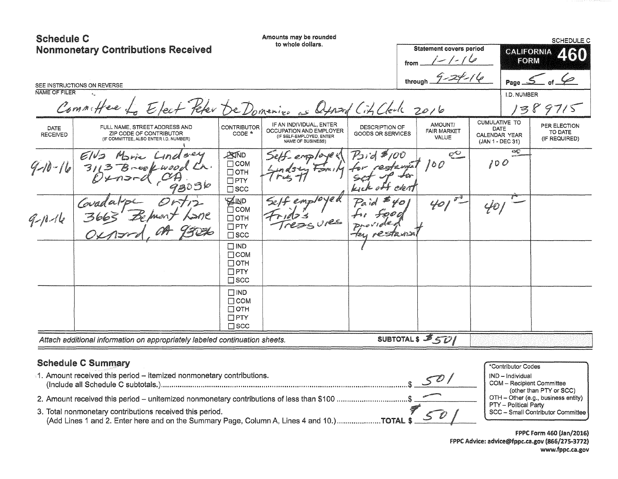| <b>Schedule C</b>       | <b>Nonmonetary Contributions Received</b><br>SEE INSTRUCTIONS ON REVERSE                                                                                                                         |                                                                          | Amounts may be rounded<br>to whole dollars.                                                         |                                     | from<br>through      | <b>Statement covers period</b><br>$/ - 1$ |                                                                   | <b>CALIFORNIA</b><br>FORM<br>$Page_2$                           | SCHEDULE C<br><b><i>FRO</i></b>                                                                    |
|-------------------------|--------------------------------------------------------------------------------------------------------------------------------------------------------------------------------------------------|--------------------------------------------------------------------------|-----------------------------------------------------------------------------------------------------|-------------------------------------|----------------------|-------------------------------------------|-------------------------------------------------------------------|-----------------------------------------------------------------|----------------------------------------------------------------------------------------------------|
| NAME OF FILER           | $\mathbf{d}_{\text{max}}$<br>Committee Le Etect Peter De Domenico as Oxport City Clerk 2016                                                                                                      |                                                                          |                                                                                                     |                                     |                      |                                           |                                                                   | I.D. NUMBER                                                     | 1389715                                                                                            |
| DATE<br><b>RECEIVED</b> | FULL NAME, STREET ADDRESS AND<br>ZIP CODE OF CONTRIBUTOR<br>(IF COMMITTEE, ALSO ENTER I.D. NUMBER)                                                                                               | <b>CONTRIBUTOR</b><br>CODE *                                             | IF AN INDIVIDUAL, ENTER<br>OCCUPATION AND EMPLOYER<br>(IF SELF-EMPLOYED, ENTER<br>NAME OF BUSINESS) | DESCRIPTION OF<br>GOODS OR SERVICES |                      | AMOUNT/<br><b>FAIR MARKET</b><br>VALUE    | <b>CUMULATIVE TO</b><br>DATE<br>CALENDAR YEAR<br>(JAN 1 - DEC 31) |                                                                 | PER ELECTION<br>TO DATE<br>(IF REQUIRED)                                                           |
| $9 - 16$                | 2303k                                                                                                                                                                                            | <b>ANTIND</b><br>$\Box$ COM<br>$\Box$ OTH<br>$\Box$ PTY<br>$\square$ scc |                                                                                                     | $12id*100$                          |                      | $\mathbb{C}^{\bigcirc}$<br>100            | 100                                                               | Æ                                                               |                                                                                                    |
| $9 - 16$                |                                                                                                                                                                                                  | <b>AUD</b><br>$\Box$ COM<br>$\Box$ OTH<br>$\Box$ PTY<br>$\square$ scc    |                                                                                                     | Paid<br>restann                     | $\not\in\mathcal{O}$ | 401                                       |                                                                   |                                                                 |                                                                                                    |
|                         |                                                                                                                                                                                                  | $\square$ IND<br>$\Box$ COM<br>$\Box$ OTH<br>$\Box$ PTY<br>$\square$ SCC |                                                                                                     |                                     |                      |                                           |                                                                   |                                                                 |                                                                                                    |
|                         |                                                                                                                                                                                                  | $\Box$ IND<br>$\Box$ COM<br>$\Box$ OTH<br>$\Box$ PTY<br>$\square$ SCC    |                                                                                                     |                                     |                      |                                           |                                                                   |                                                                 |                                                                                                    |
|                         | Attach additional information on appropriately labeled continuation sheets.                                                                                                                      |                                                                          |                                                                                                     |                                     |                      | SUBTOTALS 3501                            |                                                                   |                                                                 |                                                                                                    |
|                         | <b>Schedule C Summary</b><br>1. Amount received this period - itemized nonmonetary contributions.<br>2. Amount received this period – unitemized nonmonetary contributions of less than \$100 \$ |                                                                          |                                                                                                     |                                     |                      |                                           |                                                                   | *Contributor Codes<br>IND - Individual<br>PTY - Political Party | <b>COM</b> - Recipient Committee<br>(other than PTY or SCC)<br>OTH - Other (e.g., business entity) |

3. Total nonmonetary contributions received this period. SCC - Small Contributor Committee (Add Lines 1 and 2. Enter here and on the Summary Page, Column A, Lines 4 and 10.) ..................... TOTAl \$ \_\_\_ -11-

**FPPC Form 460 (Jan/2016)** FPPC Advice: advice@fppc.ca.gov (866/275-3772) www.fppc.ca.gov